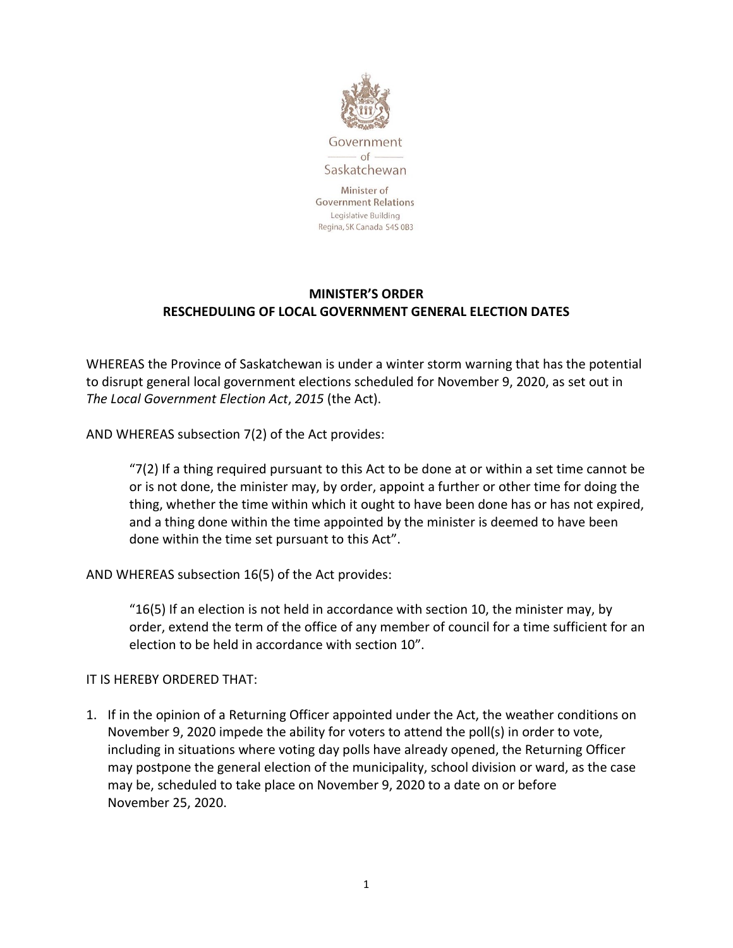

Government  $-$  of Saskatchewan

Minister of **Government Relations** Legislative Building Regina, SK Canada S4S 0B3

## **MINISTER'S ORDER RESCHEDULING OF LOCAL GOVERNMENT GENERAL ELECTION DATES**

WHEREAS the Province of Saskatchewan is under a winter storm warning that has the potential to disrupt general local government elections scheduled for November 9, 2020, as set out in *The Local Government Election Act*, *2015* (the Act).

AND WHEREAS subsection 7(2) of the Act provides:

 $(7)(2)$  If a thing required pursuant to this Act to be done at or within a set time cannot be or is not done, the minister may, by order, appoint a further or other time for doing the thing, whether the time within which it ought to have been done has or has not expired, and a thing done within the time appointed by the minister is deemed to have been done within the time set pursuant to this Act".

AND WHEREAS subsection 16(5) of the Act provides:

"16(5) If an election is not held in accordance with section 10, the minister may, by order, extend the term of the office of any member of council for a time sufficient for an election to be held in accordance with section 10".

## IT IS HEREBY ORDERED THAT:

1. If in the opinion of a Returning Officer appointed under the Act, the weather conditions on November 9, 2020 impede the ability for voters to attend the poll(s) in order to vote, including in situations where voting day polls have already opened, the Returning Officer may postpone the general election of the municipality, school division or ward, as the case may be, scheduled to take place on November 9, 2020 to a date on or before November 25, 2020.